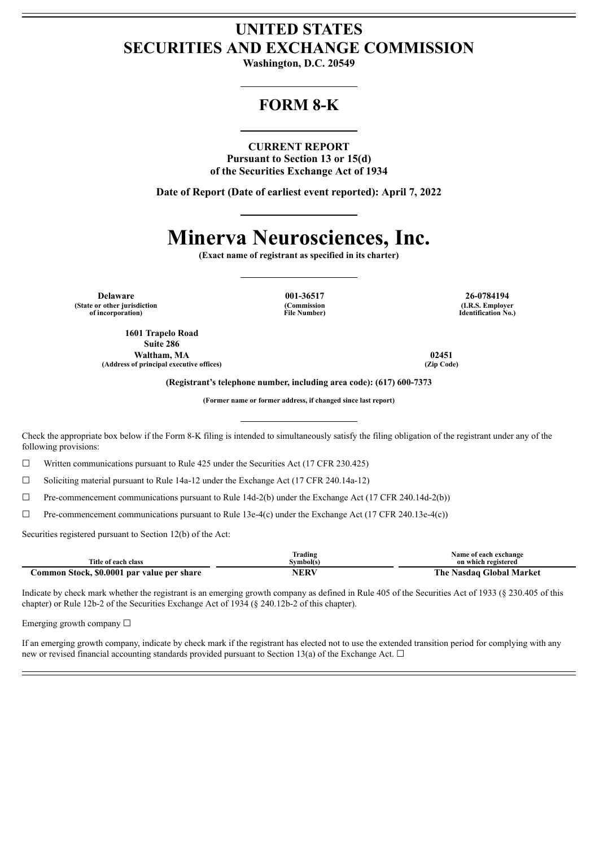## **UNITED STATES SECURITIES AND EXCHANGE COMMISSION**

**Washington, D.C. 20549**

## **FORM 8-K**

#### **CURRENT REPORT**

**Pursuant to Section 13 or 15(d) of the Securities Exchange Act of 1934**

**Date of Report (Date of earliest event reported): April 7, 2022**

# **Minerva Neurosciences, Inc.**

**(Exact name of registrant as specified in its charter)**

**Delaware 001-36517 26-0784194 (State or other jurisdiction of incorporation)**

**1601 Trapelo Road Suite 286 Waltham, MA 02451 (Address of principal executive offices) (Zip Code)**

**(Commission File Number)**

**(I.R.S. Employer Identification No.)**

**(Registrant's telephone number, including area code): (617) 600-7373**

**(Former name or former address, if changed since last report)**

Check the appropriate box below if the Form 8-K filing is intended to simultaneously satisfy the filing obligation of the registrant under any of the following provisions:

☐ Written communications pursuant to Rule 425 under the Securities Act (17 CFR 230.425)

 $\Box$  Soliciting material pursuant to Rule 14a-12 under the Exchange Act (17 CFR 240.14a-12)

 $\Box$  Pre-commencement communications pursuant to Rule 14d-2(b) under the Exchange Act (17 CFR 240.14d-2(b))

 $\Box$  Pre-commencement communications pursuant to Rule 13e-4(c) under the Exchange Act (17 CFR 240.13e-4(c))

Securities registered pursuant to Section 12(b) of the Act:

|                                            | Frading          | Name of each exchange         |
|--------------------------------------------|------------------|-------------------------------|
| Title of each class                        | Symbol(s         | on which registered           |
| Common Stock, \$0.0001 par value per share | NER <sup>V</sup> | Nasdaq Global Market<br>The . |

Indicate by check mark whether the registrant is an emerging growth company as defined in Rule 405 of the Securities Act of 1933 (§ 230.405 of this chapter) or Rule 12b-2 of the Securities Exchange Act of 1934 (§ 240.12b-2 of this chapter).

Emerging growth company  $\Box$ 

If an emerging growth company, indicate by check mark if the registrant has elected not to use the extended transition period for complying with any new or revised financial accounting standards provided pursuant to Section 13(a) of the Exchange Act.  $\Box$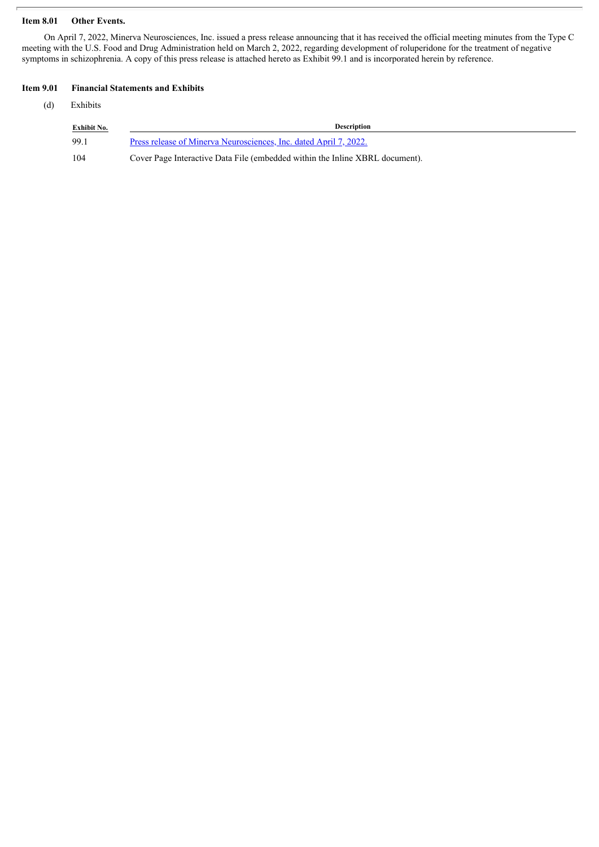#### **Item 8.01 Other Events.**

On April 7, 2022, Minerva Neurosciences, Inc. issued a press release announcing that it has received the official meeting minutes from the Type C meeting with the U.S. Food and Drug Administration held on March 2, 2022, regarding development of roluperidone for the treatment of negative symptoms in schizophrenia. A copy of this press release is attached hereto as Exhibit 99.1 and is incorporated herein by reference.

#### **Item 9.01 Financial Statements and Exhibits**

(d) Exhibits

| <b>Exhibit No.</b> | <b>Description</b>                                                           |
|--------------------|------------------------------------------------------------------------------|
| 99.1               | Press release of Minerva Neurosciences, Inc. dated April 7, 2022.            |
| -104               | Cover Page Interactive Data File (embedded within the Inline XBRL document). |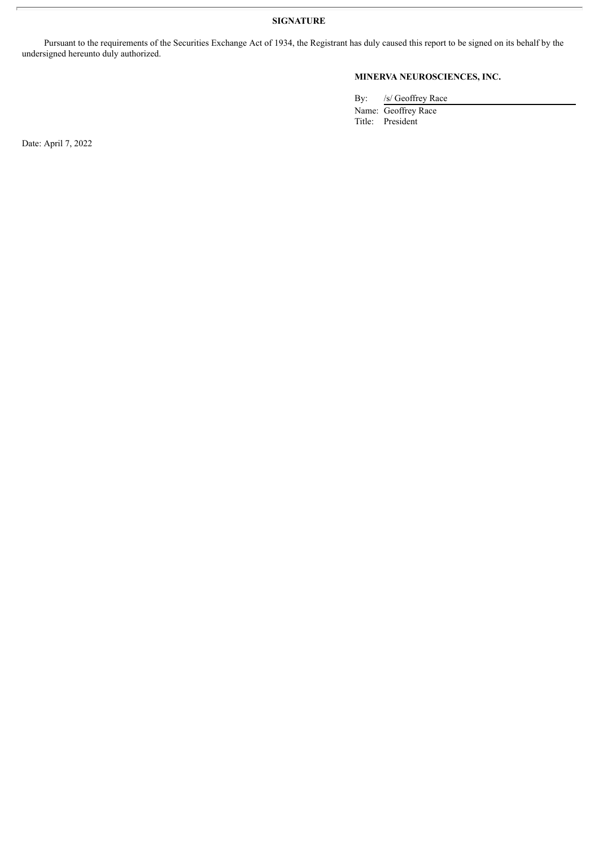**SIGNATURE**

Pursuant to the requirements of the Securities Exchange Act of 1934, the Registrant has duly caused this report to be signed on its behalf by the undersigned hereunto duly authorized.

### **MINERVA NEUROSCIENCES, INC.**

By: /s/ Geoffrey Race

Name: Geoffrey Race Title: President

Date: April 7, 2022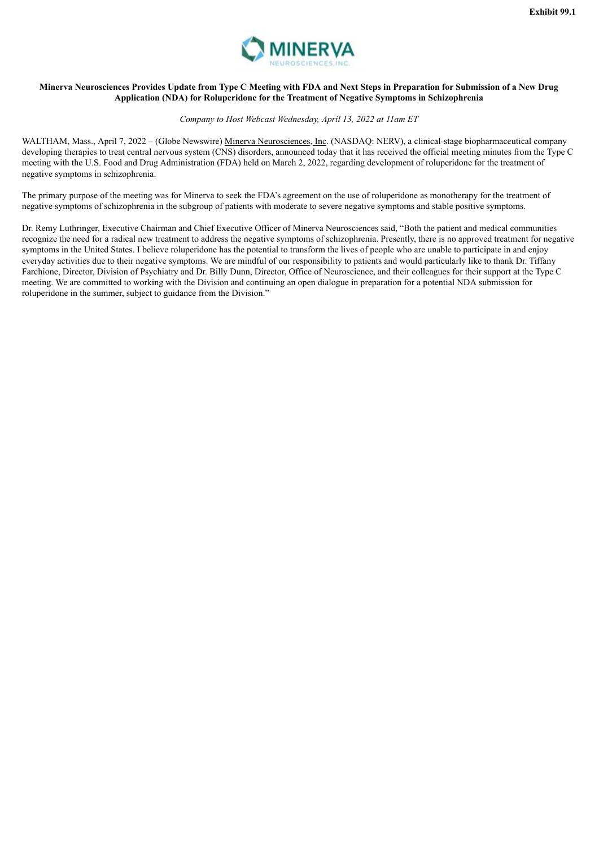

#### <span id="page-3-0"></span>Minerva Neurosciences Provides Update from Type C Meeting with FDA and Next Steps in Preparation for Submission of a New Drug **Application (NDA) for Roluperidone for the Treatment of Negative Symptoms in Schizophrenia**

#### *Company to Host Webcast Wednesday, April 13, 2022 at 11am ET*

WALTHAM, Mass., April 7, 2022 – (Globe Newswire) Minerva Neurosciences, Inc. (NASDAQ: NERV), a clinical-stage biopharmaceutical company developing therapies to treat central nervous system (CNS) disorders, announced today that it has received the official meeting minutes from the Type C meeting with the U.S. Food and Drug Administration (FDA) held on March 2, 2022, regarding development of roluperidone for the treatment of negative symptoms in schizophrenia.

The primary purpose of the meeting was for Minerva to seek the FDA's agreement on the use of roluperidone as monotherapy for the treatment of negative symptoms of schizophrenia in the subgroup of patients with moderate to severe negative symptoms and stable positive symptoms.

Dr. Remy Luthringer, Executive Chairman and Chief Executive Officer of Minerva Neurosciences said, "Both the patient and medical communities recognize the need for a radical new treatment to address the negative symptoms of schizophrenia. Presently, there is no approved treatment for negative symptoms in the United States. I believe roluperidone has the potential to transform the lives of people who are unable to participate in and enjoy everyday activities due to their negative symptoms. We are mindful of our responsibility to patients and would particularly like to thank Dr. Tiffany Farchione, Director, Division of Psychiatry and Dr. Billy Dunn, Director, Office of Neuroscience, and their colleagues for their support at the Type C meeting. We are committed to working with the Division and continuing an open dialogue in preparation for a potential NDA submission for roluperidone in the summer, subject to guidance from the Division."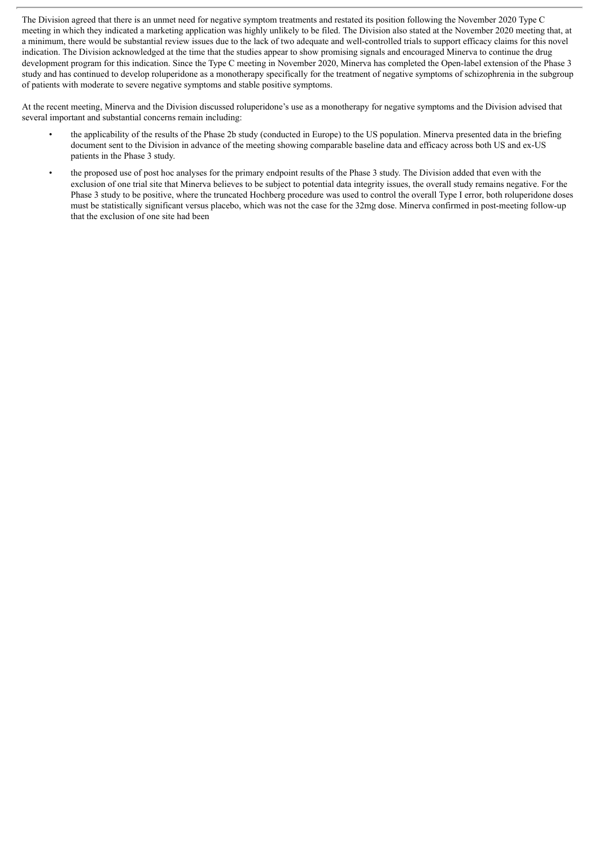The Division agreed that there is an unmet need for negative symptom treatments and restated its position following the November 2020 Type C meeting in which they indicated a marketing application was highly unlikely to be filed. The Division also stated at the November 2020 meeting that, at a minimum, there would be substantial review issues due to the lack of two adequate and well-controlled trials to support efficacy claims for this novel indication. The Division acknowledged at the time that the studies appear to show promising signals and encouraged Minerva to continue the drug development program for this indication. Since the Type C meeting in November 2020, Minerva has completed the Open-label extension of the Phase 3 study and has continued to develop roluperidone as a monotherapy specifically for the treatment of negative symptoms of schizophrenia in the subgroup of patients with moderate to severe negative symptoms and stable positive symptoms.

At the recent meeting, Minerva and the Division discussed roluperidone's use as a monotherapy for negative symptoms and the Division advised that several important and substantial concerns remain including:

- the applicability of the results of the Phase 2b study (conducted in Europe) to the US population. Minerva presented data in the briefing document sent to the Division in advance of the meeting showing comparable baseline data and efficacy across both US and ex-US patients in the Phase 3 study.
- the proposed use of post hoc analyses for the primary endpoint results of the Phase 3 study. The Division added that even with the exclusion of one trial site that Minerva believes to be subject to potential data integrity issues, the overall study remains negative. For the Phase 3 study to be positive, where the truncated Hochberg procedure was used to control the overall Type I error, both roluperidone doses must be statistically significant versus placebo, which was not the case for the 32mg dose. Minerva confirmed in post-meeting follow-up that the exclusion of one site had been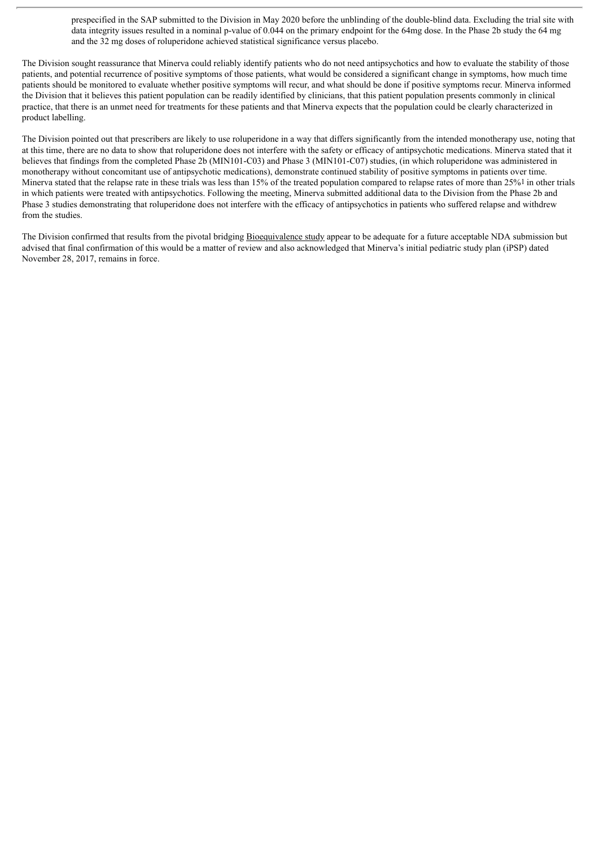prespecified in the SAP submitted to the Division in May 2020 before the unblinding of the double-blind data. Excluding the trial site with data integrity issues resulted in a nominal p-value of 0.044 on the primary endpoint for the 64mg dose. In the Phase 2b study the 64 mg and the 32 mg doses of roluperidone achieved statistical significance versus placebo.

The Division sought reassurance that Minerva could reliably identify patients who do not need antipsychotics and how to evaluate the stability of those patients, and potential recurrence of positive symptoms of those patients, what would be considered a significant change in symptoms, how much time patients should be monitored to evaluate whether positive symptoms will recur, and what should be done if positive symptoms recur. Minerva informed the Division that it believes this patient population can be readily identified by clinicians, that this patient population presents commonly in clinical practice, that there is an unmet need for treatments for these patients and that Minerva expects that the population could be clearly characterized in product labelling.

The Division pointed out that prescribers are likely to use roluperidone in a way that differs significantly from the intended monotherapy use, noting that at this time, there are no data to show that roluperidone does not interfere with the safety or efficacy of antipsychotic medications. Minerva stated that it believes that findings from the completed Phase 2b (MIN101-C03) and Phase 3 (MIN101-C07) studies, (in which roluperidone was administered in monotherapy without concomitant use of antipsychotic medications), demonstrate continued stability of positive symptoms in patients over time. Minerva stated that the relapse rate in these trials was less than 15% of the treated population compared to relapse rates of more than 25%<sup>1</sup> in other trials in which patients were treated with antipsychotics. Following the meeting, Minerva submitted additional data to the Division from the Phase 2b and Phase 3 studies demonstrating that roluperidone does not interfere with the efficacy of antipsychotics in patients who suffered relapse and withdrew from the studies.

The Division confirmed that results from the pivotal bridging Bioequivalence study appear to be adequate for a future acceptable NDA submission but advised that final confirmation of this would be a matter of review and also acknowledged that Minerva's initial pediatric study plan (iPSP) dated November 28, 2017, remains in force.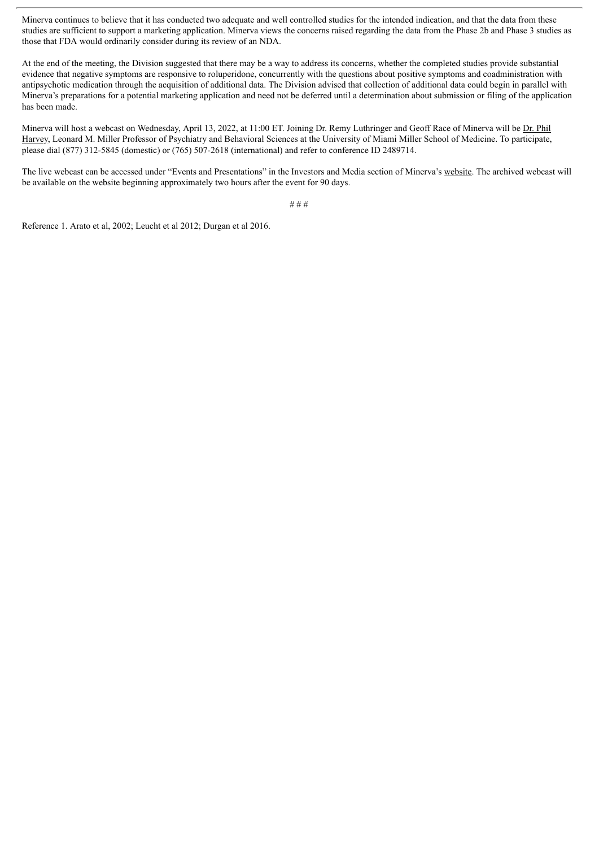Minerva continues to believe that it has conducted two adequate and well controlled studies for the intended indication, and that the data from these studies are sufficient to support a marketing application. Minerva views the concerns raised regarding the data from the Phase 2b and Phase 3 studies as those that FDA would ordinarily consider during its review of an NDA.

At the end of the meeting, the Division suggested that there may be a way to address its concerns, whether the completed studies provide substantial evidence that negative symptoms are responsive to roluperidone, concurrently with the questions about positive symptoms and coadministration with antipsychotic medication through the acquisition of additional data. The Division advised that collection of additional data could begin in parallel with Minerva's preparations for a potential marketing application and need not be deferred until a determination about submission or filing of the application has been made.

Minerva will host a webcast on Wednesday, April 13, 2022, at 11:00 ET. Joining Dr. Remy Luthringer and Geoff Race of Minerva will be Dr. Phil Harvey, Leonard M. Miller Professor of Psychiatry and Behavioral Sciences at the University of Miami Miller School of Medicine. To participate, please dial (877) 312-5845 (domestic) or (765) 507-2618 (international) and refer to conference ID 2489714.

The live webcast can be accessed under "Events and Presentations" in the Investors and Media section of Minerva's website. The archived webcast will be available on the website beginning approximately two hours after the event for 90 days.

# # #

Reference 1. Arato et al, 2002; Leucht et al 2012; Durgan et al 2016.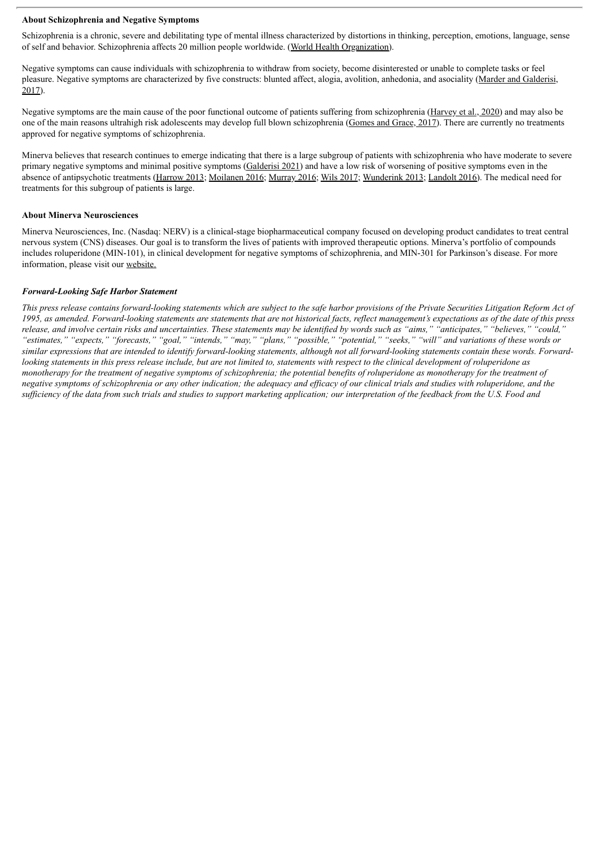#### **About Schizophrenia and Negative Symptoms**

Schizophrenia is a chronic, severe and debilitating type of mental illness characterized by distortions in thinking, perception, emotions, language, sense of self and behavior. Schizophrenia affects 20 million people worldwide. (World Health Organization).

Negative symptoms can cause individuals with schizophrenia to withdraw from society, become disinterested or unable to complete tasks or feel pleasure. Negative symptoms are characterized by five constructs: blunted affect, alogia, avolition, anhedonia, and asociality (Marder and Galderisi, 2017).

Negative symptoms are the main cause of the poor functional outcome of patients suffering from schizophrenia (Harvey et al., 2020) and may also be one of the main reasons ultrahigh risk adolescents may develop full blown schizophrenia (Gomes and Grace, 2017). There are currently no treatments approved for negative symptoms of schizophrenia.

Minerva believes that research continues to emerge indicating that there is a large subgroup of patients with schizophrenia who have moderate to severe primary negative symptoms and minimal positive symptoms (Galderisi 2021) and have a low risk of worsening of positive symptoms even in the absence of antipsychotic treatments (Harrow 2013; Moilanen 2016; Murray 2016; Wils 2017; Wunderink 2013; Landolt 2016). The medical need for treatments for this subgroup of patients is large.

#### **About Minerva Neurosciences**

Minerva Neurosciences, Inc. (Nasdaq: NERV) is a clinical-stage biopharmaceutical company focused on developing product candidates to treat central nervous system (CNS) diseases. Our goal is to transform the lives of patients with improved therapeutic options. Minerva's portfolio of compounds includes roluperidone (MIN-101), in clinical development for negative symptoms of schizophrenia, and MIN-301 for Parkinson's disease. For more information, please visit our website.

#### *Forward-Looking Safe Harbor Statement*

This press release contains forward-looking statements which are subject to the safe harbor provisions of the Private Securities Litigation Reform Act of 1995, as amended. Forward-looking statements are statements that are not historical facts, reflect management's expectations as of the date of this press release, and involve certain risks and uncertainties. These statements may be identified by words such as "aims," "anticipates," "believes," "could," "estimates," "expects," "forecasts," "goal," "intends," "may," "plans," "possible," "potential," "seeks," "will" and variations of these words or similar expressions that are intended to identify forward-looking statements, although not all forward-looking statements contain these words. Forwardlooking statements in this press release include, but are not limited to, statements with respect to the clinical development of roluperidone as monotherapy for the treatment of negative symptoms of schizophrenia; the potential benefits of roluperidone as monotherapy for the treatment of negative symptoms of schizophrenia or any other indication; the adequacy and efficacy of our clinical trials and studies with roluperidone, and the sufficiency of the data from such trials and studies to support marketing application; our interpretation of the feedback from the  $\dot{U}$ .S. Food and